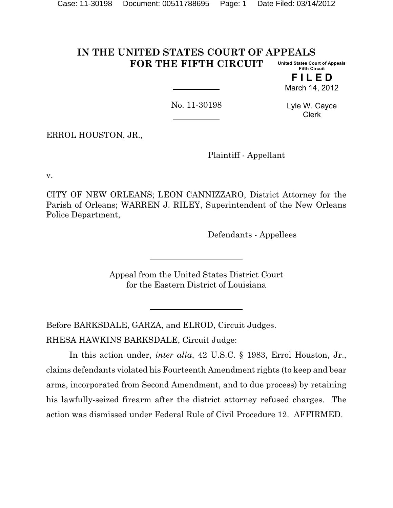#### **IN THE UNITED STATES COURT OF APPEALS FOR THE FIFTH CIRCUIT United States Court of Appeals Fifth Circuit**

**F I L E D** March 14, 2012

No. 11-30198

Lyle W. Cayce Clerk

ERROL HOUSTON, JR.,

Plaintiff - Appellant

v.

CITY OF NEW ORLEANS; LEON CANNIZZARO, District Attorney for the Parish of Orleans; WARREN J. RILEY, Superintendent of the New Orleans Police Department,

Defendants - Appellees

Appeal from the United States District Court for the Eastern District of Louisiana

Before BARKSDALE, GARZA, and ELROD, Circuit Judges. RHESA HAWKINS BARKSDALE, Circuit Judge:

In this action under, *inter alia*, 42 U.S.C. § 1983, Errol Houston, Jr., claims defendants violated his Fourteenth Amendment rights (to keep and bear arms, incorporated from Second Amendment, and to due process) by retaining his lawfully-seized firearm after the district attorney refused charges. The action was dismissed under Federal Rule of Civil Procedure 12. AFFIRMED.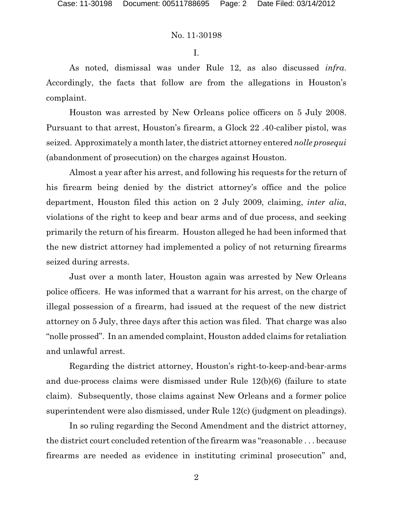I.

As noted, dismissal was under Rule 12, as also discussed *infra*. Accordingly, the facts that follow are from the allegations in Houston's complaint.

Houston was arrested by New Orleans police officers on 5 July 2008. Pursuant to that arrest, Houston's firearm, a Glock 22 .40-caliber pistol, was seized. Approximately a month later, the district attorney entered *nolle prosequi* (abandonment of prosecution) on the charges against Houston.

Almost a year after his arrest, and following his requests for the return of his firearm being denied by the district attorney's office and the police department, Houston filed this action on 2 July 2009, claiming, *inter alia*, violations of the right to keep and bear arms and of due process, and seeking primarily the return of his firearm. Houston alleged he had been informed that the new district attorney had implemented a policy of not returning firearms seized during arrests.

Just over a month later, Houston again was arrested by New Orleans police officers. He was informed that a warrant for his arrest, on the charge of illegal possession of a firearm, had issued at the request of the new district attorney on 5 July, three days after this action was filed. That charge was also "nolle prossed". In an amended complaint, Houston added claims for retaliation and unlawful arrest.

Regarding the district attorney, Houston's right-to-keep-and-bear-arms and due-process claims were dismissed under Rule 12(b)(6) (failure to state claim). Subsequently, those claims against New Orleans and a former police superintendent were also dismissed, under Rule 12(c) (judgment on pleadings).

In so ruling regarding the Second Amendment and the district attorney, the district court concluded retention of the firearm was "reasonable . . . because firearms are needed as evidence in instituting criminal prosecution" and,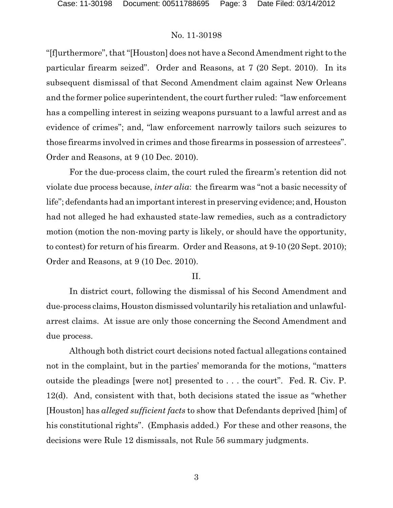"[f]urthermore", that "[Houston] does not have a Second Amendment right to the particular firearm seized". Order and Reasons, at 7 (20 Sept. 2010). In its subsequent dismissal of that Second Amendment claim against New Orleans and the former police superintendent, the court further ruled: "law enforcement has a compelling interest in seizing weapons pursuant to a lawful arrest and as evidence of crimes"; and, "law enforcement narrowly tailors such seizures to those firearms involved in crimes and those firearms in possession of arrestees". Order and Reasons, at 9 (10 Dec. 2010).

For the due-process claim, the court ruled the firearm's retention did not violate due process because, *inter alia*: the firearm was "not a basic necessity of life"; defendants had an important interest in preserving evidence; and, Houston had not alleged he had exhausted state-law remedies, such as a contradictory motion (motion the non-moving party is likely, or should have the opportunity, to contest) for return of his firearm. Order and Reasons, at 9-10 (20 Sept. 2010); Order and Reasons, at 9 (10 Dec. 2010).

# II.

In district court, following the dismissal of his Second Amendment and due-process claims, Houston dismissed voluntarily his retaliation and unlawfularrest claims. At issue are only those concerning the Second Amendment and due process.

Although both district court decisions noted factual allegations contained not in the complaint, but in the parties' memoranda for the motions, "matters outside the pleadings [were not] presented to . . . the court". Fed. R. Civ. P. 12(d). And, consistent with that, both decisions stated the issue as "whether [Houston] has *alleged sufficient facts* to show that Defendants deprived [him] of his constitutional rights". (Emphasis added.) For these and other reasons, the decisions were Rule 12 dismissals, not Rule 56 summary judgments.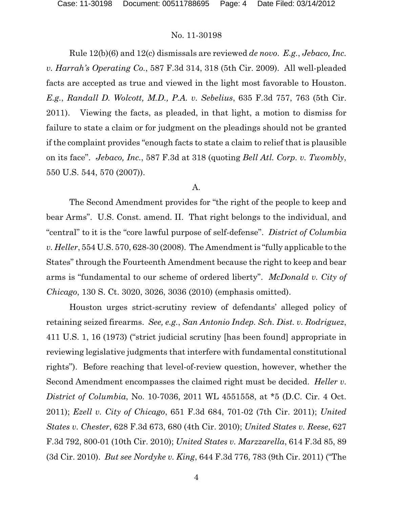Rule 12(b)(6) and 12(c) dismissals are reviewed *de novo*. *E.g.*, *Jebaco, Inc. v. Harrah's Operating Co.*, 587 F.3d 314, 318 (5th Cir. 2009). All well-pleaded facts are accepted as true and viewed in the light most favorable to Houston. *E.g.*, *Randall D. Wolcott, M.D., P.A. v. Sebelius*, 635 F.3d 757, 763 (5th Cir. 2011). Viewing the facts, as pleaded, in that light, a motion to dismiss for failure to state a claim or for judgment on the pleadings should not be granted if the complaint provides "enough facts to state a claim to relief that is plausible on its face". *Jebaco, Inc.*, 587 F.3d at 318 (quoting *Bell Atl. Corp. v. Twombly*, 550 U.S. 544, 570 (2007)).

# A.

The Second Amendment provides for "the right of the people to keep and bear Arms". U.S. Const. amend. II. That right belongs to the individual, and "central" to it is the "core lawful purpose of self-defense". *District of Columbia v. Heller*, 554 U.S. 570, 628-30 (2008). The Amendment is "fully applicable to the States" through the Fourteenth Amendment because the right to keep and bear arms is "fundamental to our scheme of ordered liberty". *McDonald v. City of Chicago*, 130 S. Ct. 3020, 3026, 3036 (2010) (emphasis omitted).

Houston urges strict-scrutiny review of defendants' alleged policy of retaining seized firearms. *See, e.g.*, *San Antonio Indep. Sch. Dist. v. Rodriguez*, 411 U.S. 1, 16 (1973) ("strict judicial scrutiny [has been found] appropriate in reviewing legislative judgments that interfere with fundamental constitutional rights"). Before reaching that level-of-review question, however, whether the Second Amendment encompasses the claimed right must be decided. *Heller v. District of Columbia*, No. 10-7036, 2011 WL 4551558, at \*5 (D.C. Cir. 4 Oct. 2011); *Ezell v. City of Chicago*, 651 F.3d 684, 701-02 (7th Cir. 2011); *United States v. Chester*, 628 F.3d 673, 680 (4th Cir. 2010); *United States v. Reese*, 627 F.3d 792, 800-01 (10th Cir. 2010); *United States v. Marzzarella*, 614 F.3d 85, 89 (3d Cir. 2010). *But see Nordyke v. King*, 644 F.3d 776, 783 (9th Cir. 2011) ("The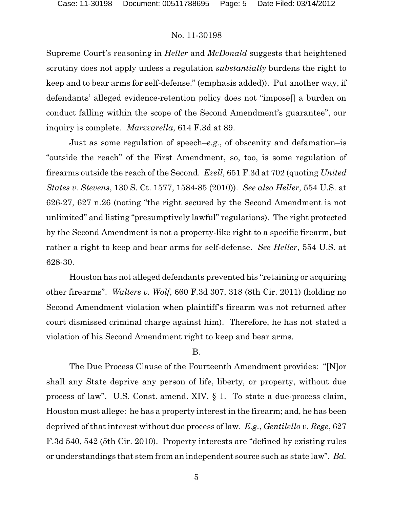Supreme Court's reasoning in *Heller* and *McDonald* suggests that heightened scrutiny does not apply unless a regulation *substantially* burdens the right to keep and to bear arms for self-defense." (emphasis added)). Put another way, if defendants' alleged evidence-retention policy does not "impose[] a burden on conduct falling within the scope of the Second Amendment's guarantee", our inquiry is complete. *Marzzarella*, 614 F.3d at 89.

Just as some regulation of speech–*e.g.*, of obscenity and defamation–is "outside the reach" of the First Amendment, so, too, is some regulation of firearms outside the reach of the Second. *Ezell*, 651 F.3d at 702 (quoting *United States v. Stevens*, 130 S. Ct. 1577, 1584-85 (2010)). *See also Heller*, 554 U.S. at 626-27, 627 n.26 (noting "the right secured by the Second Amendment is not unlimited" and listing "presumptively lawful" regulations). The right protected by the Second Amendment is not a property-like right to a specific firearm, but rather a right to keep and bear arms for self-defense. *See Heller*, 554 U.S. at 628-30.

Houston has not alleged defendants prevented his "retaining or acquiring other firearms". *Walters v. Wolf*, 660 F.3d 307, 318 (8th Cir. 2011) (holding no Second Amendment violation when plaintiff's firearm was not returned after court dismissed criminal charge against him). Therefore, he has not stated a violation of his Second Amendment right to keep and bear arms.

### B.

The Due Process Clause of the Fourteenth Amendment provides: "[N]or shall any State deprive any person of life, liberty, or property, without due process of law". U.S. Const. amend. XIV, § 1. To state a due-process claim, Houston must allege: he has a property interest in the firearm; and, he has been deprived of that interest without due process of law. *E.g.*, *Gentilello v. Rege*, 627 F.3d 540, 542 (5th Cir. 2010). Property interests are "defined by existing rules or understandings that stem from an independent source such as state law". *Bd.*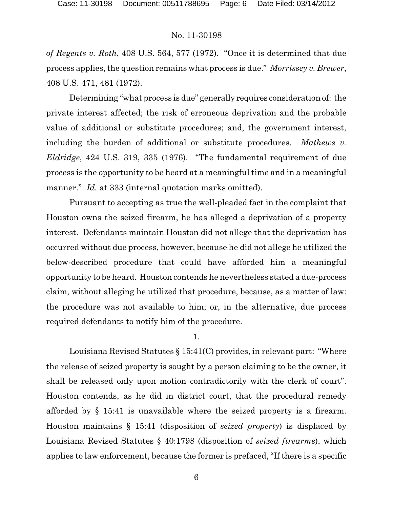*of Regents v. Roth*, 408 U.S. 564, 577 (1972). "Once it is determined that due process applies, the question remains what process is due." *Morrissey v. Brewer*, 408 U.S. 471, 481 (1972).

Determining "what process is due" generally requires consideration of: the private interest affected; the risk of erroneous deprivation and the probable value of additional or substitute procedures; and, the government interest, including the burden of additional or substitute procedures. *Mathews v. Eldridge*, 424 U.S. 319, 335 (1976). "The fundamental requirement of due process is the opportunity to be heard at a meaningful time and in a meaningful manner." *Id.* at 333 (internal quotation marks omitted).

Pursuant to accepting as true the well-pleaded fact in the complaint that Houston owns the seized firearm, he has alleged a deprivation of a property interest. Defendants maintain Houston did not allege that the deprivation has occurred without due process, however, because he did not allege he utilized the below-described procedure that could have afforded him a meaningful opportunity to be heard. Houston contends he nevertheless stated a due-process claim, without alleging he utilized that procedure, because, as a matter of law: the procedure was not available to him; or, in the alternative, due process required defendants to notify him of the procedure.

1.

Louisiana Revised Statutes § 15:41(C) provides, in relevant part: "Where the release of seized property is sought by a person claiming to be the owner, it shall be released only upon motion contradictorily with the clerk of court". Houston contends, as he did in district court, that the procedural remedy afforded by § 15:41 is unavailable where the seized property is a firearm. Houston maintains § 15:41 (disposition of *seized property*) is displaced by Louisiana Revised Statutes § 40:1798 (disposition of *seized firearms*), which applies to law enforcement, because the former is prefaced, "If there is a specific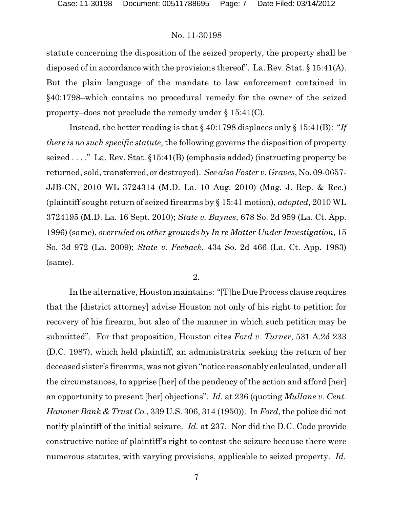statute concerning the disposition of the seized property, the property shall be disposed of in accordance with the provisions thereof". La. Rev. Stat. § 15:41(A). But the plain language of the mandate to law enforcement contained in §40:1798–which contains no procedural remedy for the owner of the seized property–does not preclude the remedy under § 15:41(C).

Instead, the better reading is that § 40:1798 displaces only § 15:41(B): "*If there is no such specific statute*, the following governs the disposition of property seized . . . ." La. Rev. Stat. §15:41(B) (emphasis added) (instructing property be returned, sold, transferred, or destroyed). *See also Foster v. Graves*, No. 09-0657- JJB-CN, 2010 WL 3724314 (M.D. La. 10 Aug. 2010) (Mag. J. Rep. & Rec.) (plaintiff sought return of seized firearms by § 15:41 motion), *adopted*, 2010 WL 3724195 (M.D. La. 16 Sept. 2010); *State v. Baynes*, 678 So. 2d 959 (La. Ct. App. 1996) (same), *overruled on other grounds by In re Matter Under Investigation*, 15 So. 3d 972 (La. 2009); *State v. Feeback*, 434 So. 2d 466 (La. Ct. App. 1983) (same).

#### 2.

In the alternative, Houston maintains: "[T]he Due Process clause requires that the [district attorney] advise Houston not only of his right to petition for recovery of his firearm, but also of the manner in which such petition may be submitted". For that proposition, Houston cites *Ford v. Turner*, 531 A.2d 233 (D.C. 1987), which held plaintiff, an administratrix seeking the return of her deceased sister's firearms, was not given "notice reasonably calculated, under all the circumstances, to apprise [her] of the pendency of the action and afford [her] an opportunity to present [her] objections". *Id.* at 236 (quoting *Mullane v. Cent. Hanover Bank & Trust Co.*, 339 U.S. 306, 314 (1950)). In *Ford*, the police did not notify plaintiff of the initial seizure. *Id.* at 237. Nor did the D.C. Code provide constructive notice of plaintiff's right to contest the seizure because there were numerous statutes, with varying provisions, applicable to seized property. *Id.*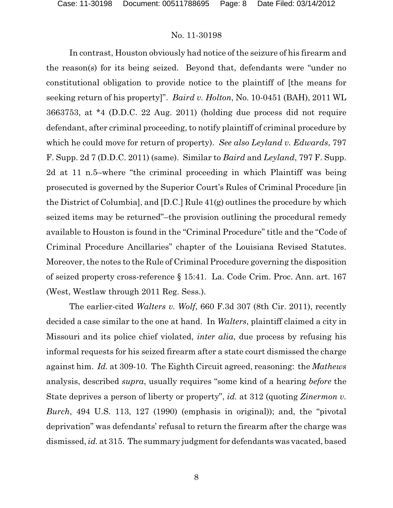In contrast, Houston obviously had notice of the seizure of his firearm and the reason(s) for its being seized. Beyond that, defendants were "under no constitutional obligation to provide notice to the plaintiff of [the means for seeking return of his property]". *Baird v. Holton*, No. 10-0451 (BAH), 2011 WL 3663753, at \*4 (D.D.C. 22 Aug. 2011) (holding due process did not require defendant, after criminal proceeding, to notify plaintiff of criminal procedure by which he could move for return of property). *See also Leyland v. Edwards*, 797 F. Supp. 2d 7 (D.D.C. 2011) (same). Similar to *Baird* and *Leyland*, 797 F. Supp. 2d at 11 n.5–where "the criminal proceeding in which Plaintiff was being prosecuted is governed by the Superior Court's Rules of Criminal Procedure [in the District of Columbia], and [D.C.] Rule 41(g) outlines the procedure by which seized items may be returned"–the provision outlining the procedural remedy available to Houston is found in the "Criminal Procedure" title and the "Code of Criminal Procedure Ancillaries" chapter of the Louisiana Revised Statutes. Moreover, the notes to the Rule of Criminal Procedure governing the disposition of seized property cross-reference § 15:41. La. Code Crim. Proc. Ann. art. 167 (West, Westlaw through 2011 Reg. Sess.).

The earlier-cited *Walters v. Wolf*, 660 F.3d 307 (8th Cir. 2011), recently decided a case similar to the one at hand. In *Walters*, plaintiff claimed a city in Missouri and its police chief violated, *inter alia*, due process by refusing his informal requests for his seized firearm after a state court dismissed the charge against him. *Id.* at 309-10. The Eighth Circuit agreed, reasoning: the *Mathews* analysis, described *supra*, usually requires "some kind of a hearing *before* the State deprives a person of liberty or property", *id.* at 312 (quoting *Zinermon v. Burch*, 494 U.S. 113, 127 (1990) (emphasis in original)); and, the "pivotal deprivation" was defendants' refusal to return the firearm after the charge was dismissed, *id.* at 315. The summary judgment for defendantswas vacated, based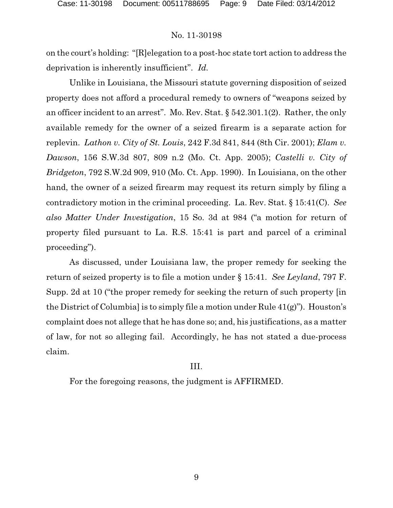on the court's holding: "[R]elegation to a post-hoc state tort action to address the deprivation is inherently insufficient". *Id.*

Unlike in Louisiana, the Missouri statute governing disposition of seized property does not afford a procedural remedy to owners of "weapons seized by an officer incident to an arrest". Mo. Rev. Stat. § 542.301.1(2). Rather, the only available remedy for the owner of a seized firearm is a separate action for replevin. *Lathon v. City of St. Louis*, 242 F.3d 841, 844 (8th Cir. 2001); *Elam v. Dawson*, 156 S.W.3d 807, 809 n.2 (Mo. Ct. App. 2005); *Castelli v. City of Bridgeton*, 792 S.W.2d 909, 910 (Mo. Ct. App. 1990). In Louisiana, on the other hand, the owner of a seized firearm may request its return simply by filing a contradictory motion in the criminal proceeding. La. Rev. Stat. § 15:41(C). *See also Matter Under Investigation*, 15 So. 3d at 984 ("a motion for return of property filed pursuant to La. R.S. 15:41 is part and parcel of a criminal proceeding").

As discussed, under Louisiana law, the proper remedy for seeking the return of seized property is to file a motion under § 15:41. *See Leyland*, 797 F. Supp. 2d at 10 ("the proper remedy for seeking the return of such property [in the District of Columbia] is to simply file a motion under Rule 41(g)"). Houston's complaint does not allege that he has done so; and, his justifications, as a matter of law, for not so alleging fail. Accordingly, he has not stated a due-process claim.

# III.

For the foregoing reasons, the judgment is AFFIRMED.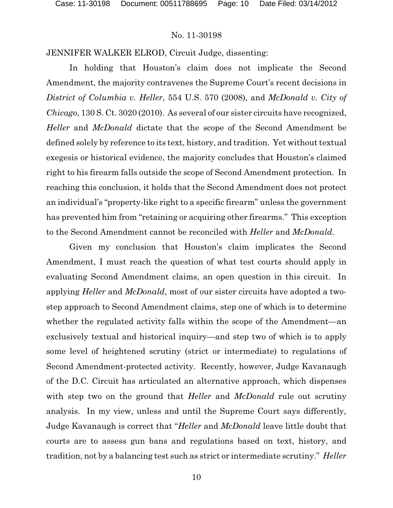JENNIFER WALKER ELROD, Circuit Judge, dissenting:

In holding that Houston's claim does not implicate the Second Amendment, the majority contravenes the Supreme Court's recent decisions in *District of Columbia v. Heller*, 554 U.S. 570 (2008), and *McDonald v. City of Chicago*, 130 S. Ct. 3020 (2010). As several of our sister circuits have recognized, *Heller* and *McDonald* dictate that the scope of the Second Amendment be defined solely by reference to its text, history, and tradition. Yet without textual exegesis or historical evidence, the majority concludes that Houston's claimed right to his firearm falls outside the scope of Second Amendment protection. In reaching this conclusion, it holds that the Second Amendment does not protect an individual's "property-like right to a specific firearm" unless the government has prevented him from "retaining or acquiring other firearms." This exception to the Second Amendment cannot be reconciled with *Heller* and *McDonald*.

Given my conclusion that Houston's claim implicates the Second Amendment, I must reach the question of what test courts should apply in evaluating Second Amendment claims, an open question in this circuit. In applying *Heller* and *McDonald*, most of our sister circuits have adopted a twostep approach to Second Amendment claims, step one of which is to determine whether the regulated activity falls within the scope of the Amendment—an exclusively textual and historical inquiry—and step two of which is to apply some level of heightened scrutiny (strict or intermediate) to regulations of Second Amendment-protected activity. Recently, however, Judge Kavanaugh of the D.C. Circuit has articulated an alternative approach, which dispenses with step two on the ground that *Heller* and *McDonald* rule out scrutiny analysis. In my view, unless and until the Supreme Court says differently, Judge Kavanaugh is correct that "*Heller* and *McDonald* leave little doubt that courts are to assess gun bans and regulations based on text, history, and tradition, not by a balancing test such as strict or intermediate scrutiny." *Heller*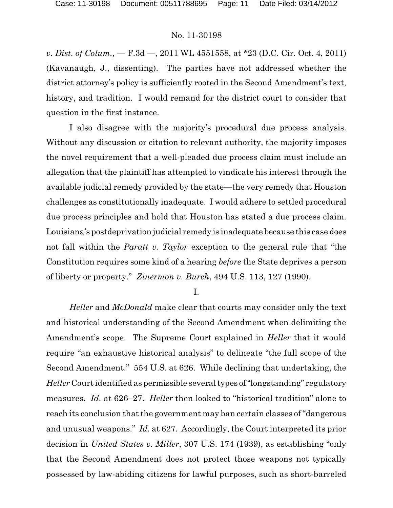*v. Dist. of Colum.*, — F.3d —, 2011 WL 4551558, at \*23 (D.C. Cir. Oct. 4, 2011) (Kavanaugh, J., dissenting). The parties have not addressed whether the district attorney's policy is sufficiently rooted in the Second Amendment's text, history, and tradition. I would remand for the district court to consider that question in the first instance.

I also disagree with the majority's procedural due process analysis. Without any discussion or citation to relevant authority, the majority imposes the novel requirement that a well-pleaded due process claim must include an allegation that the plaintiff has attempted to vindicate his interest through the available judicial remedy provided by the state—the very remedy that Houston challenges as constitutionally inadequate. I would adhere to settled procedural due process principles and hold that Houston has stated a due process claim. Louisiana's postdeprivation judicial remedy is inadequate because this case does not fall within the *Paratt v. Taylor* exception to the general rule that "the Constitution requires some kind of a hearing *before* the State deprives a person of liberty or property." *Zinermon v. Burch*, 494 U.S. 113, 127 (1990).

I.

*Heller* and *McDonald* make clear that courts may consider only the text and historical understanding of the Second Amendment when delimiting the Amendment's scope. The Supreme Court explained in *Heller* that it would require "an exhaustive historical analysis" to delineate "the full scope of the Second Amendment." 554 U.S. at 626. While declining that undertaking, the *Heller* Court identified as permissible several types of "longstanding" regulatory measures. *Id.* at 626–27. *Heller* then looked to "historical tradition" alone to reach its conclusion that the government may ban certain classes of "dangerous and unusual weapons." *Id.* at 627. Accordingly, the Court interpreted its prior decision in *United States v. Miller*, 307 U.S. 174 (1939), as establishing "only that the Second Amendment does not protect those weapons not typically possessed by law-abiding citizens for lawful purposes, such as short-barreled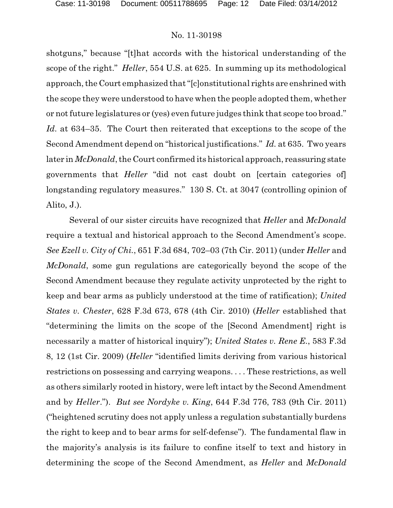shotguns," because "[t]hat accords with the historical understanding of the scope of the right." *Heller*, 554 U.S. at 625. In summing up its methodological approach, the Court emphasized that "[c]onstitutional rights are enshrined with the scope they were understood to have when the people adopted them, whether or not future legislatures or (yes) even future judges think that scope too broad." *Id.* at 634–35. The Court then reiterated that exceptions to the scope of the Second Amendment depend on "historical justifications." *Id.* at 635. Two years later in *McDonald*, the Court confirmed its historical approach, reassuring state governments that *Heller* "did not cast doubt on [certain categories of] longstanding regulatory measures." 130 S. Ct. at 3047 (controlling opinion of Alito, J.).

Several of our sister circuits have recognized that *Heller* and *McDonald* require a textual and historical approach to the Second Amendment's scope. *See Ezell v. City of Chi.*, 651 F.3d 684, 702–03 (7th Cir. 2011) (under *Heller* and *McDonald*, some gun regulations are categorically beyond the scope of the Second Amendment because they regulate activity unprotected by the right to keep and bear arms as publicly understood at the time of ratification); *United States v. Chester*, 628 F.3d 673, 678 (4th Cir. 2010) (*Heller* established that "determining the limits on the scope of the [Second Amendment] right is necessarily a matter of historical inquiry"); *United States v. Rene E.*, 583 F.3d 8, 12 (1st Cir. 2009) (*Heller* "identified limits deriving from various historical restrictions on possessing and carrying weapons. . . . These restrictions, as well as others similarly rooted in history, were left intact by the Second Amendment and by *Heller*."). *But see Nordyke v. King*, 644 F.3d 776, 783 (9th Cir. 2011) ("heightened scrutiny does not apply unless a regulation substantially burdens the right to keep and to bear arms for self-defense"). The fundamental flaw in the majority's analysis is its failure to confine itself to text and history in determining the scope of the Second Amendment, as *Heller* and *McDonald*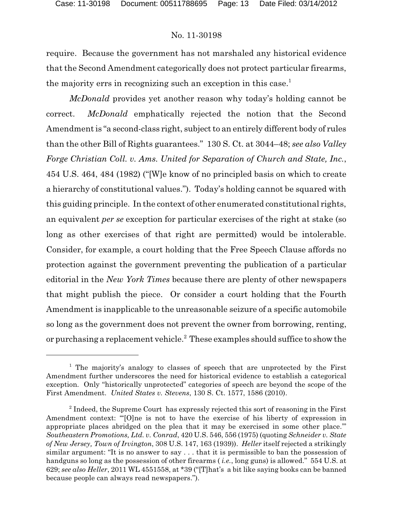require. Because the government has not marshaled any historical evidence that the Second Amendment categorically does not protect particular firearms, the majority errs in recognizing such an exception in this case.<sup>1</sup>

*McDonald* provides yet another reason why today's holding cannot be correct. *McDonald* emphatically rejected the notion that the Second Amendment is "a second-class right, subject to an entirely different body of rules than the other Bill of Rights guarantees." 130 S. Ct. at 3044–48; *see also Valley Forge Christian Coll. v. Ams. United for Separation of Church and State, Inc.*, 454 U.S. 464, 484 (1982) ("[W]e know of no principled basis on which to create a hierarchy of constitutional values."). Today's holding cannot be squared with this guiding principle. In the context of other enumerated constitutional rights, an equivalent *per se* exception for particular exercises of the right at stake (so long as other exercises of that right are permitted) would be intolerable. Consider, for example, a court holding that the Free Speech Clause affords no protection against the government preventing the publication of a particular editorial in the *New York Times* because there are plenty of other newspapers that might publish the piece. Or consider a court holding that the Fourth Amendment is inapplicable to the unreasonable seizure of a specific automobile so long as the government does not prevent the owner from borrowing, renting, or purchasing a replacement vehicle.<sup>2</sup> These examples should suffice to show the

 $1$  The majority's analogy to classes of speech that are unprotected by the First Amendment further underscores the need for historical evidence to establish a categorical exception. Only "historically unprotected" categories of speech are beyond the scope of the First Amendment. *United States v. Stevens*, 130 S. Ct. 1577, 1586 (2010).

 $2$  Indeed, the Supreme Court has expressly rejected this sort of reasoning in the First Amendment context: "'[O]ne is not to have the exercise of his liberty of expression in appropriate places abridged on the plea that it may be exercised in some other place.'" *Southeastern Promotions, Ltd. v. Conrad*, 420 U.S. 546, 556 (1975) (quoting *Schneider v. State of New Jersey, Town of Irvington*, 308 U.S. 147, 163 (1939)). *Heller* itself rejected a strikingly similar argument: "It is no answer to say . . . that it is permissible to ban the possession of handguns so long as the possession of other firearms ( *i.e.*, long guns) is allowed." 554 U.S. at 629; *see also Heller*, 2011 WL 4551558, at \*39 ("[T]hat's a bit like saying books can be banned because people can always read newspapers.").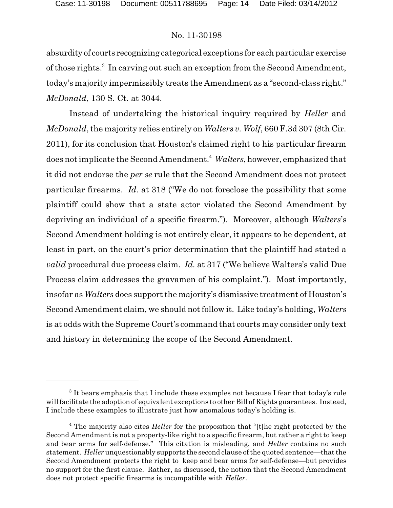absurdity of courts recognizing categorical exceptions for each particular exercise of those rights.<sup>3</sup> In carving out such an exception from the Second Amendment, today's majority impermissibly treats the Amendment as a "second-class right." *McDonald*, 130 S. Ct. at 3044.

Instead of undertaking the historical inquiry required by *Heller* and *McDonald*, the majority relies entirely on *Walters v. Wolf*, 660 F.3d 307 (8th Cir. 2011), for its conclusion that Houston's claimed right to his particular firearm does not implicate the Second Amendment.<sup>4</sup> Walters, however, emphasized that it did not endorse the *per se* rule that the Second Amendment does not protect particular firearms. *Id.* at 318 ("We do not foreclose the possibility that some plaintiff could show that a state actor violated the Second Amendment by depriving an individual of a specific firearm."). Moreover, although *Walters*'s Second Amendment holding is not entirely clear, it appears to be dependent, at least in part, on the court's prior determination that the plaintiff had stated a *valid* procedural due process claim. *Id.* at 317 ("We believe Walters's valid Due Process claim addresses the gravamen of his complaint."). Most importantly, insofar as *Walters* does support the majority's dismissive treatment of Houston's Second Amendment claim, we should not follow it. Like today's holding, *Walters* is at odds with the Supreme Court's command that courts may consider only text and history in determining the scope of the Second Amendment.

 $3$  It bears emphasis that I include these examples not because I fear that today's rule will facilitate the adoption of equivalent exceptions to other Bill of Rights guarantees. Instead, I include these examples to illustrate just how anomalous today's holding is.

<sup>&</sup>lt;sup>4</sup> The majority also cites *Heller* for the proposition that "[t]he right protected by the Second Amendment is not a property-like right to a specific firearm, but rather a right to keep and bear arms for self-defense." This citation is misleading, and *Heller* contains no such statement. *Heller* unquestionably supports the second clause of the quoted sentence—thatthe Second Amendment protects the right to keep and bear arms for self-defense—but provides no support for the first clause. Rather, as discussed, the notion that the Second Amendment does not protect specific firearms is incompatible with *Heller*.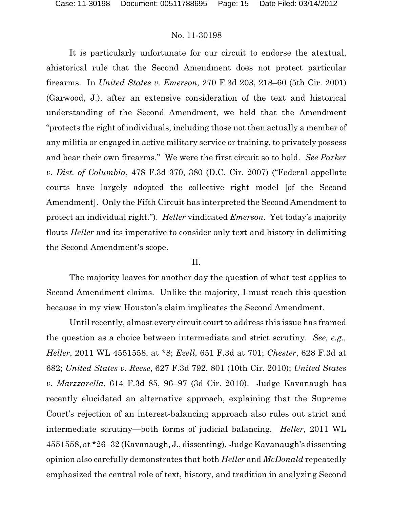It is particularly unfortunate for our circuit to endorse the atextual, ahistorical rule that the Second Amendment does not protect particular firearms. In *United States v. Emerson*, 270 F.3d 203, 218–60 (5th Cir. 2001) (Garwood, J.), after an extensive consideration of the text and historical understanding of the Second Amendment, we held that the Amendment "protects the right of individuals, including those not then actually a member of any militia or engaged in active military service or training, to privately possess and bear their own firearms." We were the first circuit so to hold. *See Parker v. Dist. of Columbia*, 478 F.3d 370, 380 (D.C. Cir. 2007) ("Federal appellate courts have largely adopted the collective right model [of the Second Amendment]. Only the Fifth Circuit has interpreted the Second Amendment to protect an individual right."). *Heller* vindicated *Emerson*. Yet today's majority flouts *Heller* and its imperative to consider only text and history in delimiting the Second Amendment's scope.

### II.

The majority leaves for another day the question of what test applies to Second Amendment claims. Unlike the majority, I must reach this question because in my view Houston's claim implicates the Second Amendment.

Until recently, almost every circuit court to address this issue has framed the question as a choice between intermediate and strict scrutiny. *See, e.g., Heller*, 2011 WL 4551558, at \*8; *Ezell*, 651 F.3d at 701; *Chester*, 628 F.3d at 682; *United States v. Reese*, 627 F.3d 792, 801 (10th Cir. 2010); *United States v. Marzzarella*, 614 F.3d 85, 96–97 (3d Cir. 2010). Judge Kavanaugh has recently elucidated an alternative approach, explaining that the Supreme Court's rejection of an interest-balancing approach also rules out strict and intermediate scrutiny—both forms of judicial balancing. *Heller*, 2011 WL 4551558, at \*26–32 (Kavanaugh, J., dissenting). Judge Kavanaugh's dissenting opinion also carefully demonstrates that both *Heller* and *McDonald* repeatedly emphasized the central role of text, history, and tradition in analyzing Second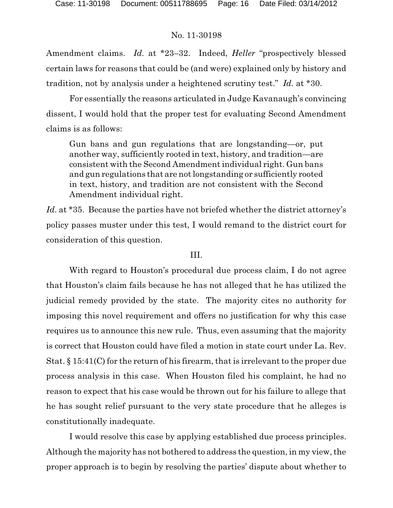Amendment claims. *Id.* at \*23–32. Indeed, *Heller* "prospectively blessed certain laws for reasons that could be (and were) explained only by history and tradition, not by analysis under a heightened scrutiny test." *Id.* at \*30.

For essentially the reasons articulated in Judge Kavanaugh's convincing dissent, I would hold that the proper test for evaluating Second Amendment claims is as follows:

Gun bans and gun regulations that are longstanding—or, put another way, sufficiently rooted in text, history, and tradition—are consistent with the Second Amendment individual right. Gun bans and gun regulations that are not longstanding or sufficiently rooted in text, history, and tradition are not consistent with the Second Amendment individual right.

*Id.* at \*35. Because the parties have not briefed whether the district attorney's policy passes muster under this test, I would remand to the district court for consideration of this question.

# III.

With regard to Houston's procedural due process claim, I do not agree that Houston's claim fails because he has not alleged that he has utilized the judicial remedy provided by the state. The majority cites no authority for imposing this novel requirement and offers no justification for why this case requires us to announce this new rule. Thus, even assuming that the majority is correct that Houston could have filed a motion in state court under La. Rev. Stat. § 15:41(C) for the return of his firearm, that is irrelevant to the proper due process analysis in this case. When Houston filed his complaint, he had no reason to expect that his case would be thrown out for his failure to allege that he has sought relief pursuant to the very state procedure that he alleges is constitutionally inadequate.

I would resolve this case by applying established due process principles. Although the majority has not bothered to address the question, in my view, the proper approach is to begin by resolving the parties' dispute about whether to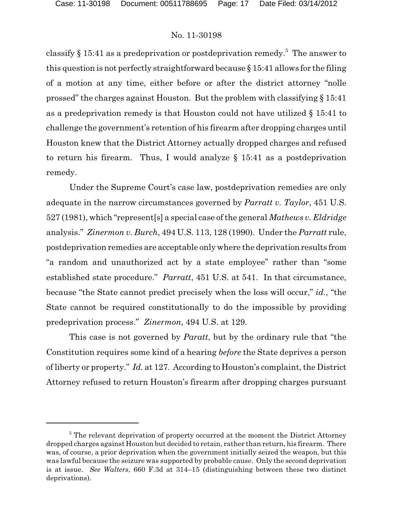classify  $\S 15:41$  as a predeprivation or postdeprivation remedy.<sup>5</sup> The answer to this question is not perfectly straightforward because § 15:41 allows for the filing of a motion at any time, either before or after the district attorney "nolle prossed" the charges against Houston. But the problem with classifying § 15:41 as a predeprivation remedy is that Houston could not have utilized § 15:41 to challenge the government's retention of his firearm after dropping charges until Houston knew that the District Attorney actually dropped charges and refused to return his firearm. Thus, I would analyze  $\S$  15:41 as a postdeprivation remedy.

Under the Supreme Court's case law, postdeprivation remedies are only adequate in the narrow circumstances governed by *Parratt v. Taylor*, 451 U.S. 527 (1981), which "represent[s] a special case of the general *Mathews v. Eldridge* analysis." *Zinermon v. Burch*, 494 U.S. 113, 128 (1990). Under the *Parratt* rule, postdeprivation remedies are acceptable only where the deprivation results from "a random and unauthorized act by a state employee" rather than "some established state procedure." *Parratt*, 451 U.S. at 541. In that circumstance, because "the State cannot predict precisely when the loss will occur," *id.*, "the State cannot be required constitutionally to do the impossible by providing predeprivation process." *Zinermon*, 494 U.S. at 129.

This case is not governed by *Paratt*, but by the ordinary rule that "the Constitution requires some kind of a hearing *before* the State deprives a person of liberty or property." *Id.* at 127. According to Houston's complaint, the District Attorney refused to return Houston's firearm after dropping charges pursuant

 $5$  The relevant deprivation of property occurred at the moment the District Attorney dropped charges against Houston but decided to retain, rather than return, his firearm. There was, of course, a prior deprivation when the government initially seized the weapon, but this was lawful because the seizure was supported by probable cause. Only the second deprivation is at issue. *See Walters*, 660 F.3d at 314–15 (distinguishing between these two distinct deprivations).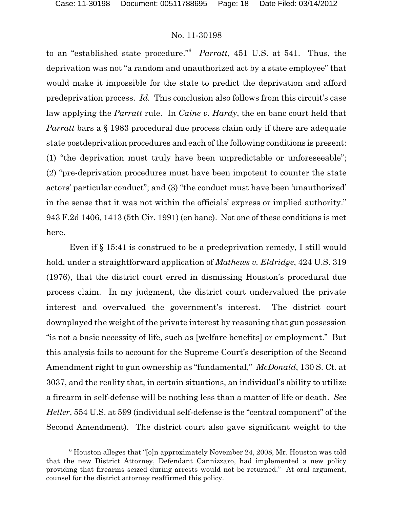to an "established state procedure."<sup>6</sup> *Parratt*, 451 U.S. at 541. Thus, the deprivation was not "a random and unauthorized act by a state employee" that would make it impossible for the state to predict the deprivation and afford predeprivation process. *Id.* This conclusion also follows from this circuit's case law applying the *Parratt* rule. In *Caine v. Hardy*, the en banc court held that *Parratt* bars a § 1983 procedural due process claim only if there are adequate state postdeprivation procedures and each of the following conditions is present: (1) "the deprivation must truly have been unpredictable or unforeseeable"; (2) "pre-deprivation procedures must have been impotent to counter the state actors' particular conduct"; and (3) "the conduct must have been 'unauthorized' in the sense that it was not within the officials' express or implied authority." 943 F.2d 1406, 1413 (5th Cir. 1991) (en banc). Not one of these conditions is met here.

Even if § 15:41 is construed to be a predeprivation remedy, I still would hold, under a straightforward application of *Mathews v. Eldridge*, 424 U.S. 319 (1976), that the district court erred in dismissing Houston's procedural due process claim. In my judgment, the district court undervalued the private interest and overvalued the government's interest. The district court downplayed the weight of the private interest by reasoning that gun possession "is not a basic necessity of life, such as [welfare benefits] or employment." But this analysis fails to account for the Supreme Court's description of the Second Amendment right to gun ownership as "fundamental," *McDonald*, 130 S. Ct. at 3037, and the reality that, in certain situations, an individual's ability to utilize a firearm in self-defense will be nothing less than a matter of life or death. *See Heller*, 554 U.S. at 599 (individual self-defense is the "central component" of the Second Amendment). The district court also gave significant weight to the

 $6$  Houston alleges that "[o]n approximately November 24, 2008, Mr. Houston was told that the new District Attorney, Defendant Cannizzaro, had implemented a new policy providing that firearms seized during arrests would not be returned." At oral argument, counsel for the district attorney reaffirmed this policy.